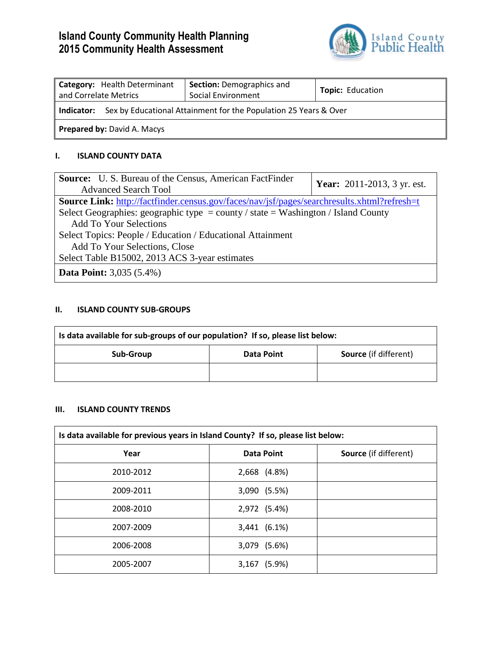# **Island County Community Health Planning 2015 Community Health Assessment**



| Category: Health Determinant<br>and Correlate Metrics                              | <b>Section: Demographics and</b><br>Social Environment | <b>Topic: Education</b> |  |
|------------------------------------------------------------------------------------|--------------------------------------------------------|-------------------------|--|
| <b>Indicator:</b> Sex by Educational Attainment for the Population 25 Years & Over |                                                        |                         |  |
| <b>Prepared by: David A. Macys</b>                                                 |                                                        |                         |  |

## **I. ISLAND COUNTY DATA**

| <b>Source:</b> U.S. Bureau of the Census, American FactFinder<br><b>Advanced Search Tool</b>       | <b>Year:</b> 2011-2013, 3 yr. est. |  |  |
|----------------------------------------------------------------------------------------------------|------------------------------------|--|--|
| <b>Source Link:</b> http://factfinder.census.gov/faces/nav/jsf/pages/searchresults.xhtml?refresh=t |                                    |  |  |
| Select Geographies: geographic type = county / state = Washington / Island County                  |                                    |  |  |
| <b>Add To Your Selections</b>                                                                      |                                    |  |  |
| Select Topics: People / Education / Educational Attainment                                         |                                    |  |  |
| Add To Your Selections, Close                                                                      |                                    |  |  |
| Select Table B15002, 2013 ACS 3-year estimates                                                     |                                    |  |  |
| <b>Data Point:</b> 3,035 (5.4%)                                                                    |                                    |  |  |

### **II. ISLAND COUNTY SUB-GROUPS**

| Is data available for sub-groups of our population? If so, please list below: |            |                              |  |
|-------------------------------------------------------------------------------|------------|------------------------------|--|
| Sub-Group                                                                     | Data Point | <b>Source</b> (if different) |  |
|                                                                               |            |                              |  |

# **III. ISLAND COUNTY TRENDS**

| Is data available for previous years in Island County? If so, please list below: |                   |                              |  |
|----------------------------------------------------------------------------------|-------------------|------------------------------|--|
| Year                                                                             | <b>Data Point</b> | <b>Source</b> (if different) |  |
| 2010-2012                                                                        | 2,668 (4.8%)      |                              |  |
| 2009-2011                                                                        | 3,090 (5.5%)      |                              |  |
| 2008-2010                                                                        | 2,972 (5.4%)      |                              |  |
| 2007-2009                                                                        | 3,441 (6.1%)      |                              |  |
| 2006-2008                                                                        | 3,079 (5.6%)      |                              |  |
| 2005-2007                                                                        | 3,167 (5.9%)      |                              |  |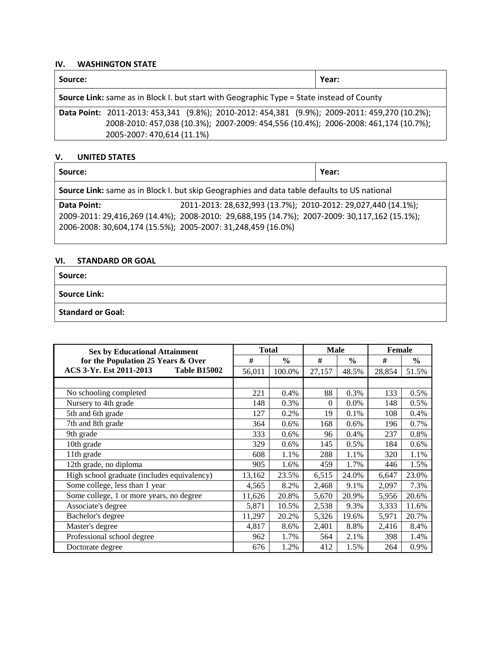## **IV. WASHINGTON STATE**

| Source:                                                                                          | Year:                                                                               |  |  |
|--------------------------------------------------------------------------------------------------|-------------------------------------------------------------------------------------|--|--|
| <b>Source Link:</b> same as in Block I. but start with Geographic Type = State instead of County |                                                                                     |  |  |
| Data Point: 2011-2013: 453,341 (9.8%); 2010-2012: 454,381 (9.9%); 2009-2011: 459,270 (10.2%);    |                                                                                     |  |  |
|                                                                                                  | 2008-2010: 457,038 (10.3%); 2007-2009: 454,556 (10.4%); 2006-2008: 461,174 (10.7%); |  |  |
| 2005-2007: 470,614 (11.1%)                                                                       |                                                                                     |  |  |

#### **V. UNITED STATES**

| Source:                                                                                      |                                                                                                                                                               | Year: |  |
|----------------------------------------------------------------------------------------------|---------------------------------------------------------------------------------------------------------------------------------------------------------------|-------|--|
| Source Link: same as in Block I. but skip Geographies and data table defaults to US national |                                                                                                                                                               |       |  |
| Data Point:<br>2006-2008: 30,604,174 (15.5%); 2005-2007: 31,248,459 (16.0%)                  | 2011-2013: 28,632,993 (13.7%); 2010-2012: 29,027,440 (14.1%);<br>2009-2011: 29,416,269 (14.4%); 2008-2010: 29,688,195 (14.7%); 2007-2009: 30,117,162 (15.1%); |       |  |

## **VI. STANDARD OR GOAL**

**Source:** 

**Source Link:** 

**Standard or Goal:** 

| <b>Sex by Educational Attainment</b>           | <b>Total</b> |               | <b>Male</b> |               | <b>Female</b> |               |
|------------------------------------------------|--------------|---------------|-------------|---------------|---------------|---------------|
| for the Population 25 Years & Over             | #            | $\frac{0}{0}$ | #           | $\frac{6}{6}$ | #             | $\frac{6}{9}$ |
| ACS 3-Yr. Est 2011-2013<br><b>Table B15002</b> | 56,011       | 100.0%        | 27,157      | 48.5%         | 28,854        | 51.5%         |
|                                                |              |               |             |               |               |               |
| No schooling completed                         | 221          | 0.4%          | 88          | 0.3%          | 133           | 0.5%          |
| Nursery to 4th grade                           | 148          | 0.3%          | $\theta$    | 0.0%          | 148           | 0.5%          |
| 5th and 6th grade                              | 127          | 0.2%          | 19          | 0.1%          | 108           | 0.4%          |
| 7th and 8th grade                              | 364          | 0.6%          | 168         | 0.6%          | 196           | 0.7%          |
| 9th grade                                      | 333          | 0.6%          | 96          | 0.4%          | 237           | 0.8%          |
| 10th grade                                     | 329          | 0.6%          | 145         | 0.5%          | 184           | 0.6%          |
| 11th grade                                     | 608          | 1.1%          | 288         | 1.1%          | 320           | 1.1%          |
| 12th grade, no diploma                         | 905          | 1.6%          | 459         | 1.7%          | 446           | 1.5%          |
| High school graduate (includes equivalency)    | 13,162       | 23.5%         | 6,515       | 24.0%         | 6,647         | 23.0%         |
| Some college, less than 1 year                 | 4,565        | 8.2%          | 2,468       | 9.1%          | 2,097         | 7.3%          |
| Some college, 1 or more years, no degree       | 11,626       | 20.8%         | 5,670       | 20.9%         | 5,956         | 20.6%         |
| Associate's degree                             | 5,871        | 10.5%         | 2,538       | 9.3%          | 3,333         | 11.6%         |
| Bachelor's degree                              | 11,297       | 20.2%         | 5,326       | 19.6%         | 5,971         | 20.7%         |
| Master's degree                                | 4,817        | 8.6%          | 2,401       | 8.8%          | 2,416         | 8.4%          |
| Professional school degree                     | 962          | 1.7%          | 564         | 2.1%          | 398           | 1.4%          |
| Doctorate degree                               | 676          | 1.2%          | 412         | 1.5%          | 264           | 0.9%          |